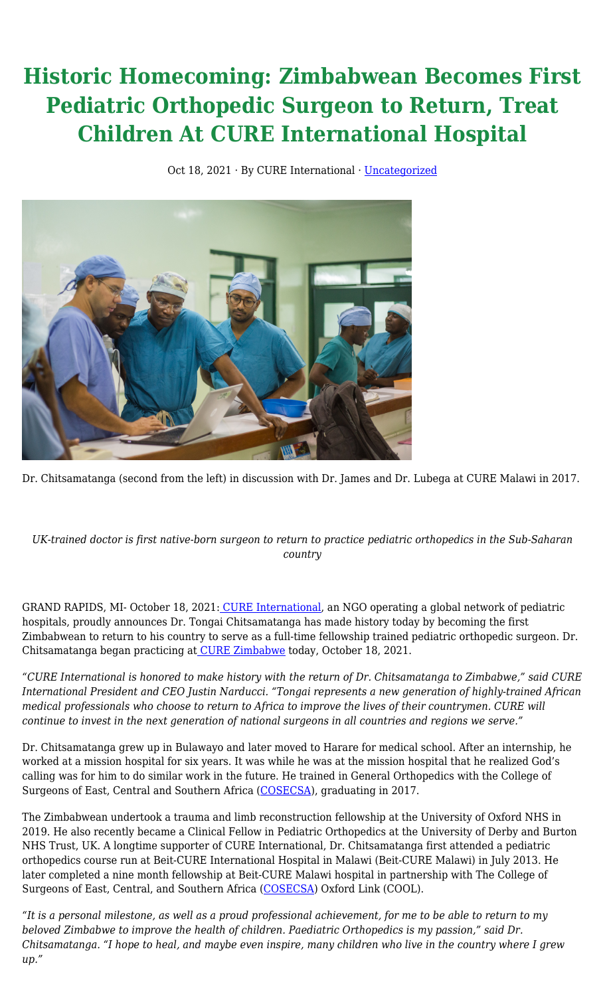## **Historic Homecoming: Zimbabwean Becomes First Pediatric Orthopedic Surgeon to Return, Treat Children At CURE International Hospital**

Oct 18, 2021 · By CURE International · [Uncategorized](https://cure.org/category/uncategorized/)



Dr. Chitsamatanga (second from the left) in discussion with Dr. James and Dr. Lubega at CURE Malawi in 2017.

*UK-trained doctor is first native-born surgeon to return to practice pediatric orthopedics in the Sub-Saharan country*

GRAND RAPIDS, MI- October 18, 2021[:](https://cure.org/) [CURE International,](https://cure.org/) an NGO operating a global network of pediatric hospitals, proudly announces Dr. Tongai Chitsamatanga has made history today by becoming the first Zimbabwean to return to his country to serve as a full-time fellowship trained pediatric orthopedic surgeon. Dr. Chitsamatanga began practicing a[t](https://cure.org/hospitals/zimbabwe/) [CURE Zimbabwe](https://cure.org/hospitals/zimbabwe/) today, October 18, 2021.

*"CURE International is honored to make history with the return of Dr. Chitsamatanga to Zimbabwe," said CURE International President and CEO Justin Narducci. "Tongai represents a new generation of highly-trained African medical professionals who choose to return to Africa to improve the lives of their countrymen. CURE will continue to invest in the next generation of national surgeons in all countries and regions we serve."*

Dr. Chitsamatanga grew up in Bulawayo and later moved to Harare for medical school. After an internship, he worked at a mission hospital for six years. It was while he was at the mission hospital that he realized God's calling was for him to do similar work in the future. He trained in General Orthopedics with the College of Surgeons of East, Central and Southern Africa ([COSECSA\)](https://www.cosecsa.org/), graduating in 2017.

The Zimbabwean undertook a trauma and limb reconstruction fellowship at the University of Oxford NHS in 2019. He also recently became a Clinical Fellow in Pediatric Orthopedics at the University of Derby and Burton NHS Trust, UK. A longtime supporter of CURE International, Dr. Chitsamatanga first attended a pediatric orthopedics course run at Beit-CURE International Hospital in Malawi (Beit-CURE Malawi) in July 2013. He later completed a nine month fellowship at Beit-CURE Malawi hospital in partnership with The College of Surgeons of East, Central, and Southern Africa ([COSECSA\)](https://www.cosecsa.org/) Oxford Link (COOL).

*"It is a personal milestone, as well as a proud professional achievement, for me to be able to return to my beloved Zimbabwe to improve the health of children. Paediatric Orthopedics is my passion," said Dr. Chitsamatanga. "I hope to heal, and maybe even inspire, many children who live in the country where I grew up."*